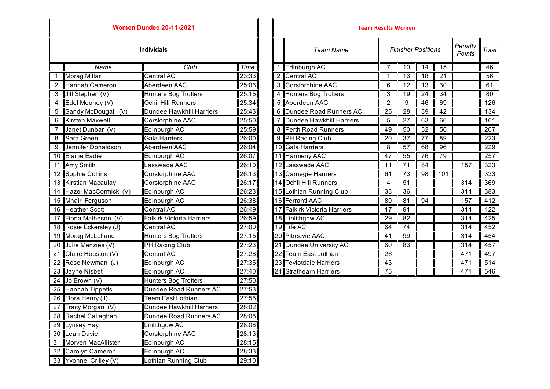| <b>Women Dundee 20-11-2021</b> |                         |                                  |       |              | <b>Team Results Women</b>    |                 |                 |  |
|--------------------------------|-------------------------|----------------------------------|-------|--------------|------------------------------|-----------------|-----------------|--|
|                                |                         | <b>Individals</b>                |       |              | <b>Team Name</b>             |                 | Finisher        |  |
|                                | Name                    | Club                             | Time  | $\mathbf{1}$ | Edinburgh AC                 | $\overline{7}$  | 10              |  |
| 1                              | Morag Millar            | <b>Central AC</b>                | 23:33 |              | 2 Central AC                 | 1               | 16              |  |
| $\overline{2}$                 | <b>Hannah Cameron</b>   | Aberdeen AAC                     | 25:06 |              | 3 Corstorphine AAC           | 6               | $\overline{12}$ |  |
| 3                              | Jill Stephen (V)        | <b>Hunters Bog Trotters</b>      | 25:15 |              | 4 Hunters Bog Trotters       | 3               | $\overline{19}$ |  |
| 4                              | Edel Mooney (V)         | Ochil Hill Runners               | 25:34 |              | 5 Aberdeen AAC               | $\overline{2}$  | 9               |  |
| 5                              | Sandy McDougall (V)     | <b>Dundee Hawkhill Harriers</b>  | 25:43 |              | 6 Dundee Road Runners AC     | 25              | 28              |  |
| 6                              | Kirsten Maxwell         | Corstorphine AAC                 | 25:50 |              | Dundee Hawkhill Harriers     | 5               | 27              |  |
| $\overline{7}$                 | Janet Dunbar (V)        | Edinburgh AC                     | 25:59 |              | 8 Perth Road Runners         | 49              | 50              |  |
| 8                              | Sara Green              | Gala Harriers                    | 26:00 |              | 9 PH Racing Club             | 20              | $\overline{37}$ |  |
| 9                              | Jennifer Donaldson      | Aberdeen AAC                     | 26:04 |              | 10 Gala Harriers             | 8               | $\overline{57}$ |  |
| 10                             | <b>Elaine Eadie</b>     | Edinburgh AC                     | 26:07 |              | 11 Harmeny AAC               | 47              | 55              |  |
| 11                             | Amy Smith               | Lasswade AAC                     | 26:10 |              | 12 Lasswade AAC              | 11              | 71              |  |
| 12                             | Sophie Collins          | Corstorphine AAC                 | 26:13 |              | 13 Carnegie Harriers         | 61              | 73              |  |
|                                | 13 Kirstian Macaulay    | Corstorphine AAC                 | 26:17 |              | 14 Ochil Hill Runners        | 4               | 51              |  |
|                                | 14 Hazel MacCormick (V) | Edinburgh AC                     | 26:23 |              | 15 Lothian Running Club      | 33              | $\overline{36}$ |  |
| 15                             | Mhairi Ferguson         | Edinburgh AC                     | 26:38 |              | 16 Ferranti AAC              | 80              | 81              |  |
| 16                             | <b>Heather Scott</b>    | <b>Central AC</b>                | 26:49 |              | 17 Falkirk Victoria Harriers | 17              | 91              |  |
| 17                             | Fiona Matheson (V)      | <b>Falkirk Victoria Harriers</b> | 26:59 |              | 18 Linlithgow AC             | 29              | $\overline{82}$ |  |
|                                | 18 Rosie Eckersley (J)  | <b>Central AC</b>                | 27:00 |              | 19 Fife AC                   | 64              | $\overline{74}$ |  |
| 19                             | Morag McLelland         | Hunters Bog Trotters             | 27:15 |              | 20 Pitreavie AAC             | 41              | 99              |  |
| 20                             | Julie Menzies (V)       | PH Racing Club                   | 27:23 |              | 21 Dundee University AC      | 60              | 83              |  |
| 21                             | Claire Houston (V)      | <b>Central AC</b>                | 27:28 |              | 22 Team East Lothian         | $\overline{26}$ |                 |  |
| 22                             | Rose Newman (J)         | Edinburgh AC                     | 27:35 |              | 23 Teviotdale Harriers       | $\overline{43}$ |                 |  |
| $\overline{23}$                | Jayne Nisbet            | Edinburgh AC                     | 27:40 |              | 24 Strathearn Harriers       | 75              |                 |  |
| 24                             | Jo Brown (V)            | Hunters Bog Trotters             | 27:50 |              |                              |                 |                 |  |
| 25                             | <b>Hannah Tippetts</b>  | Dundee Road Runners AC           | 27:53 |              |                              |                 |                 |  |
| 26                             | Flora Henry (J)         | <b>Team East Lothian</b>         | 27:55 |              |                              |                 |                 |  |
| 27                             | Tracy Morgan (V)        | <b>Dundee Hawkhill Harriers</b>  | 28:02 |              |                              |                 |                 |  |
| 28                             | Rachel Callaghan        | Dundee Road Runners AC           | 28:05 |              |                              |                 |                 |  |
| 29                             | Lynsey Hay              | Linlithgow AC                    | 28:08 |              |                              |                 |                 |  |
| 30                             | Leah Davie              | Corstorphine AAC                 | 28:13 |              |                              |                 |                 |  |
| 31                             | Morven MacAllister      | Edinburgh AC                     | 28:15 |              |                              |                 |                 |  |
|                                | 32 Carolyn Cameron      | Edinburgh AC                     | 28:33 |              |                              |                 |                 |  |
|                                | 33 Yvonne Crilley (V)   | Lothian Running Club             | 29:10 |              |                              |                 |                 |  |

| Penalty<br><b>Individals</b><br><b>Finisher Positions</b><br><b>Team Name</b><br>Points<br>Club<br>Edinburgh AC<br>Name<br>7<br>14<br>15<br>Time<br>10<br>$\overline{21}$<br>23:33<br>Central AC<br>16<br>18<br><b>Morag Millar</b><br><b>Central AC</b><br>2<br>1<br>25:06<br>3 Corstorphine AAC<br>$\overline{13}$<br>Hannah Cameron<br>Aberdeen AAC<br>6<br>12<br>30<br>3<br>25:15<br>Hunters Bog Trotters<br>3<br>24<br>34<br>Jill Stephen (V)<br><b>Hunters Bog Trotters</b><br>19<br><b>Ochil Hill Runners</b><br>25:34<br>Aberdeen AAC<br>69<br>4<br>Edel Mooney (V)<br>$\overline{2}$<br>46<br>9<br>Sandy McDougall (V)<br><b>Dundee Hawkhill Harriers</b><br>6 Dundee Road Runners AC<br>$\overline{25}$<br>$\overline{42}$<br>5<br>25:43<br>28<br>39<br>6<br>Kirsten Maxwell<br>63<br>66<br>25:50<br>Dundee Hawkhill Harriers<br>5<br>27<br>Corstorphine AAC<br>25:59<br>8 Perth Road Runners<br>49<br>$\overline{50}$<br>$\overline{52}$<br>$\overline{56}$<br>Edinburgh AC<br>Janet Dunbar (V)<br>Sara Green<br><b>Gala Harriers</b><br>9 PH Racing Club<br>77<br>8<br>26:00<br>20<br>37<br>89<br>9<br>Jennifer Donaldson<br>26:04<br>10 Gala Harriers<br>8<br>57<br>96<br>Aberdeen AAC<br>68<br>10 Elaine Eadie<br>26:07<br>11 Harmeny AAC<br>47<br>55<br>76<br>79<br>Edinburgh AC<br>26:10<br>12 Lasswade AAC<br>11 Amy Smith<br>Lasswade AAC<br>11<br>71<br>84<br>157<br>12 Sophie Collins<br>26:13<br>13 Carnegie Harriers<br>73<br>98<br>Corstorphine AAC<br>61<br>101<br>13 Kirstian Macaulay<br>14 Ochil Hill Runners<br>51<br>314<br>Corstorphine AAC<br>26:17<br>4<br>14 Hazel MacCormick (V)<br>15 Lothian Running Club<br>$\overline{33}$<br>$\overline{36}$<br>26:23<br>314<br>Edinburgh AC<br>16 Ferranti AAC<br>15 Mhairi Ferguson<br>Edinburgh AC<br>26:38<br>81<br>80<br>94<br>157<br>16 Heather Scott<br>17 Falkirk Victoria Harriers<br><b>Central AC</b><br>26:49<br>91<br>17<br>314<br><b>Falkirk Victoria Harriers</b><br>29<br>$\overline{82}$<br>17 Fiona Matheson (V)<br>26:59<br>18 Linlithgow AC<br>314<br>19 Fife AC<br>74<br>18 Rosie Eckersley (J)<br>27:00<br>64<br>314<br>Central AC<br>19 Morag McLelland<br>20 Pitreavie AAC<br>99<br><b>Hunters Bog Trotters</b><br>27:15<br>41<br>314<br>Julie Menzies (V)<br>21 Dundee University AC<br>83<br>20<br>PH Racing Club<br>27:23<br>60<br>314<br>21<br>Claire Houston (V)<br><b>Central AC</b><br>27:28<br>22 Team East Lothian<br>26<br>471<br>22<br>Rose Newman (J)<br>43<br>Edinburgh AC<br>27:35<br>23 Teviotdale Harriers<br>471<br>23 Jayne Nisbet<br>27:40<br>24 Strathearn Harriers<br>75<br>Edinburgh AC<br>471 | <b>Women Dundee 20-11-2021</b> |  |  |  | <b>Team Results Women</b> |  |  |  |  |  |                  |
|---------------------------------------------------------------------------------------------------------------------------------------------------------------------------------------------------------------------------------------------------------------------------------------------------------------------------------------------------------------------------------------------------------------------------------------------------------------------------------------------------------------------------------------------------------------------------------------------------------------------------------------------------------------------------------------------------------------------------------------------------------------------------------------------------------------------------------------------------------------------------------------------------------------------------------------------------------------------------------------------------------------------------------------------------------------------------------------------------------------------------------------------------------------------------------------------------------------------------------------------------------------------------------------------------------------------------------------------------------------------------------------------------------------------------------------------------------------------------------------------------------------------------------------------------------------------------------------------------------------------------------------------------------------------------------------------------------------------------------------------------------------------------------------------------------------------------------------------------------------------------------------------------------------------------------------------------------------------------------------------------------------------------------------------------------------------------------------------------------------------------------------------------------------------------------------------------------------------------------------------------------------------------------------------------------------------------------------------------------------------------------------------------------------------------------------------------------------------------------------------------------------------------------------------------------------------------------------------------------------------|--------------------------------|--|--|--|---------------------------|--|--|--|--|--|------------------|
|                                                                                                                                                                                                                                                                                                                                                                                                                                                                                                                                                                                                                                                                                                                                                                                                                                                                                                                                                                                                                                                                                                                                                                                                                                                                                                                                                                                                                                                                                                                                                                                                                                                                                                                                                                                                                                                                                                                                                                                                                                                                                                                                                                                                                                                                                                                                                                                                                                                                                                                                                                                                                     |                                |  |  |  |                           |  |  |  |  |  | Total            |
|                                                                                                                                                                                                                                                                                                                                                                                                                                                                                                                                                                                                                                                                                                                                                                                                                                                                                                                                                                                                                                                                                                                                                                                                                                                                                                                                                                                                                                                                                                                                                                                                                                                                                                                                                                                                                                                                                                                                                                                                                                                                                                                                                                                                                                                                                                                                                                                                                                                                                                                                                                                                                     |                                |  |  |  |                           |  |  |  |  |  | 46               |
|                                                                                                                                                                                                                                                                                                                                                                                                                                                                                                                                                                                                                                                                                                                                                                                                                                                                                                                                                                                                                                                                                                                                                                                                                                                                                                                                                                                                                                                                                                                                                                                                                                                                                                                                                                                                                                                                                                                                                                                                                                                                                                                                                                                                                                                                                                                                                                                                                                                                                                                                                                                                                     |                                |  |  |  |                           |  |  |  |  |  | 56               |
|                                                                                                                                                                                                                                                                                                                                                                                                                                                                                                                                                                                                                                                                                                                                                                                                                                                                                                                                                                                                                                                                                                                                                                                                                                                                                                                                                                                                                                                                                                                                                                                                                                                                                                                                                                                                                                                                                                                                                                                                                                                                                                                                                                                                                                                                                                                                                                                                                                                                                                                                                                                                                     |                                |  |  |  |                           |  |  |  |  |  | 61               |
|                                                                                                                                                                                                                                                                                                                                                                                                                                                                                                                                                                                                                                                                                                                                                                                                                                                                                                                                                                                                                                                                                                                                                                                                                                                                                                                                                                                                                                                                                                                                                                                                                                                                                                                                                                                                                                                                                                                                                                                                                                                                                                                                                                                                                                                                                                                                                                                                                                                                                                                                                                                                                     |                                |  |  |  |                           |  |  |  |  |  | 80               |
|                                                                                                                                                                                                                                                                                                                                                                                                                                                                                                                                                                                                                                                                                                                                                                                                                                                                                                                                                                                                                                                                                                                                                                                                                                                                                                                                                                                                                                                                                                                                                                                                                                                                                                                                                                                                                                                                                                                                                                                                                                                                                                                                                                                                                                                                                                                                                                                                                                                                                                                                                                                                                     |                                |  |  |  |                           |  |  |  |  |  | 126              |
|                                                                                                                                                                                                                                                                                                                                                                                                                                                                                                                                                                                                                                                                                                                                                                                                                                                                                                                                                                                                                                                                                                                                                                                                                                                                                                                                                                                                                                                                                                                                                                                                                                                                                                                                                                                                                                                                                                                                                                                                                                                                                                                                                                                                                                                                                                                                                                                                                                                                                                                                                                                                                     |                                |  |  |  |                           |  |  |  |  |  | 134              |
|                                                                                                                                                                                                                                                                                                                                                                                                                                                                                                                                                                                                                                                                                                                                                                                                                                                                                                                                                                                                                                                                                                                                                                                                                                                                                                                                                                                                                                                                                                                                                                                                                                                                                                                                                                                                                                                                                                                                                                                                                                                                                                                                                                                                                                                                                                                                                                                                                                                                                                                                                                                                                     |                                |  |  |  |                           |  |  |  |  |  | 161              |
|                                                                                                                                                                                                                                                                                                                                                                                                                                                                                                                                                                                                                                                                                                                                                                                                                                                                                                                                                                                                                                                                                                                                                                                                                                                                                                                                                                                                                                                                                                                                                                                                                                                                                                                                                                                                                                                                                                                                                                                                                                                                                                                                                                                                                                                                                                                                                                                                                                                                                                                                                                                                                     |                                |  |  |  |                           |  |  |  |  |  | $\overline{207}$ |
|                                                                                                                                                                                                                                                                                                                                                                                                                                                                                                                                                                                                                                                                                                                                                                                                                                                                                                                                                                                                                                                                                                                                                                                                                                                                                                                                                                                                                                                                                                                                                                                                                                                                                                                                                                                                                                                                                                                                                                                                                                                                                                                                                                                                                                                                                                                                                                                                                                                                                                                                                                                                                     |                                |  |  |  |                           |  |  |  |  |  | 223              |
|                                                                                                                                                                                                                                                                                                                                                                                                                                                                                                                                                                                                                                                                                                                                                                                                                                                                                                                                                                                                                                                                                                                                                                                                                                                                                                                                                                                                                                                                                                                                                                                                                                                                                                                                                                                                                                                                                                                                                                                                                                                                                                                                                                                                                                                                                                                                                                                                                                                                                                                                                                                                                     |                                |  |  |  |                           |  |  |  |  |  | 229              |
|                                                                                                                                                                                                                                                                                                                                                                                                                                                                                                                                                                                                                                                                                                                                                                                                                                                                                                                                                                                                                                                                                                                                                                                                                                                                                                                                                                                                                                                                                                                                                                                                                                                                                                                                                                                                                                                                                                                                                                                                                                                                                                                                                                                                                                                                                                                                                                                                                                                                                                                                                                                                                     |                                |  |  |  |                           |  |  |  |  |  | $\overline{257}$ |
|                                                                                                                                                                                                                                                                                                                                                                                                                                                                                                                                                                                                                                                                                                                                                                                                                                                                                                                                                                                                                                                                                                                                                                                                                                                                                                                                                                                                                                                                                                                                                                                                                                                                                                                                                                                                                                                                                                                                                                                                                                                                                                                                                                                                                                                                                                                                                                                                                                                                                                                                                                                                                     |                                |  |  |  |                           |  |  |  |  |  | 323              |
|                                                                                                                                                                                                                                                                                                                                                                                                                                                                                                                                                                                                                                                                                                                                                                                                                                                                                                                                                                                                                                                                                                                                                                                                                                                                                                                                                                                                                                                                                                                                                                                                                                                                                                                                                                                                                                                                                                                                                                                                                                                                                                                                                                                                                                                                                                                                                                                                                                                                                                                                                                                                                     |                                |  |  |  |                           |  |  |  |  |  | $\frac{1}{333}$  |
|                                                                                                                                                                                                                                                                                                                                                                                                                                                                                                                                                                                                                                                                                                                                                                                                                                                                                                                                                                                                                                                                                                                                                                                                                                                                                                                                                                                                                                                                                                                                                                                                                                                                                                                                                                                                                                                                                                                                                                                                                                                                                                                                                                                                                                                                                                                                                                                                                                                                                                                                                                                                                     |                                |  |  |  |                           |  |  |  |  |  | 369              |
|                                                                                                                                                                                                                                                                                                                                                                                                                                                                                                                                                                                                                                                                                                                                                                                                                                                                                                                                                                                                                                                                                                                                                                                                                                                                                                                                                                                                                                                                                                                                                                                                                                                                                                                                                                                                                                                                                                                                                                                                                                                                                                                                                                                                                                                                                                                                                                                                                                                                                                                                                                                                                     |                                |  |  |  |                           |  |  |  |  |  | 383              |
|                                                                                                                                                                                                                                                                                                                                                                                                                                                                                                                                                                                                                                                                                                                                                                                                                                                                                                                                                                                                                                                                                                                                                                                                                                                                                                                                                                                                                                                                                                                                                                                                                                                                                                                                                                                                                                                                                                                                                                                                                                                                                                                                                                                                                                                                                                                                                                                                                                                                                                                                                                                                                     |                                |  |  |  |                           |  |  |  |  |  | 412              |
|                                                                                                                                                                                                                                                                                                                                                                                                                                                                                                                                                                                                                                                                                                                                                                                                                                                                                                                                                                                                                                                                                                                                                                                                                                                                                                                                                                                                                                                                                                                                                                                                                                                                                                                                                                                                                                                                                                                                                                                                                                                                                                                                                                                                                                                                                                                                                                                                                                                                                                                                                                                                                     |                                |  |  |  |                           |  |  |  |  |  | 422              |
|                                                                                                                                                                                                                                                                                                                                                                                                                                                                                                                                                                                                                                                                                                                                                                                                                                                                                                                                                                                                                                                                                                                                                                                                                                                                                                                                                                                                                                                                                                                                                                                                                                                                                                                                                                                                                                                                                                                                                                                                                                                                                                                                                                                                                                                                                                                                                                                                                                                                                                                                                                                                                     |                                |  |  |  |                           |  |  |  |  |  | 425              |
|                                                                                                                                                                                                                                                                                                                                                                                                                                                                                                                                                                                                                                                                                                                                                                                                                                                                                                                                                                                                                                                                                                                                                                                                                                                                                                                                                                                                                                                                                                                                                                                                                                                                                                                                                                                                                                                                                                                                                                                                                                                                                                                                                                                                                                                                                                                                                                                                                                                                                                                                                                                                                     |                                |  |  |  |                           |  |  |  |  |  | 452              |
|                                                                                                                                                                                                                                                                                                                                                                                                                                                                                                                                                                                                                                                                                                                                                                                                                                                                                                                                                                                                                                                                                                                                                                                                                                                                                                                                                                                                                                                                                                                                                                                                                                                                                                                                                                                                                                                                                                                                                                                                                                                                                                                                                                                                                                                                                                                                                                                                                                                                                                                                                                                                                     |                                |  |  |  |                           |  |  |  |  |  | 454              |
|                                                                                                                                                                                                                                                                                                                                                                                                                                                                                                                                                                                                                                                                                                                                                                                                                                                                                                                                                                                                                                                                                                                                                                                                                                                                                                                                                                                                                                                                                                                                                                                                                                                                                                                                                                                                                                                                                                                                                                                                                                                                                                                                                                                                                                                                                                                                                                                                                                                                                                                                                                                                                     |                                |  |  |  |                           |  |  |  |  |  | 457              |
|                                                                                                                                                                                                                                                                                                                                                                                                                                                                                                                                                                                                                                                                                                                                                                                                                                                                                                                                                                                                                                                                                                                                                                                                                                                                                                                                                                                                                                                                                                                                                                                                                                                                                                                                                                                                                                                                                                                                                                                                                                                                                                                                                                                                                                                                                                                                                                                                                                                                                                                                                                                                                     |                                |  |  |  |                           |  |  |  |  |  | 497              |
|                                                                                                                                                                                                                                                                                                                                                                                                                                                                                                                                                                                                                                                                                                                                                                                                                                                                                                                                                                                                                                                                                                                                                                                                                                                                                                                                                                                                                                                                                                                                                                                                                                                                                                                                                                                                                                                                                                                                                                                                                                                                                                                                                                                                                                                                                                                                                                                                                                                                                                                                                                                                                     |                                |  |  |  |                           |  |  |  |  |  | 514              |
|                                                                                                                                                                                                                                                                                                                                                                                                                                                                                                                                                                                                                                                                                                                                                                                                                                                                                                                                                                                                                                                                                                                                                                                                                                                                                                                                                                                                                                                                                                                                                                                                                                                                                                                                                                                                                                                                                                                                                                                                                                                                                                                                                                                                                                                                                                                                                                                                                                                                                                                                                                                                                     |                                |  |  |  |                           |  |  |  |  |  | 546              |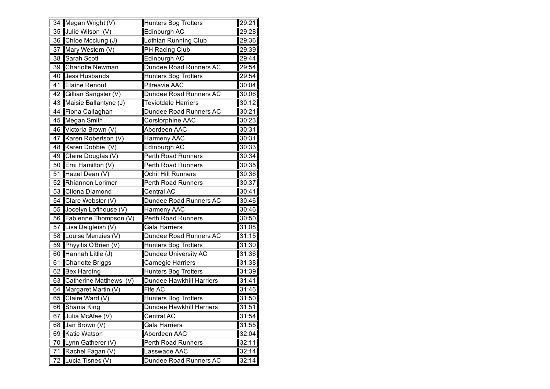| $\overline{34}$ | Megan Wright (V)        | Hunters Bog Trotters            | 29:21 |
|-----------------|-------------------------|---------------------------------|-------|
| 35              | Julie Wilson (V)        | Edinburgh AC                    | 29:28 |
| 36              | Chloe Mcclung (J)       | Lothian Running Club            | 29:36 |
| 37              | Mary Western (V)        | PH Racing Club                  | 29:39 |
| 38              | Sarah Scott             | Edinburgh AC                    | 29:44 |
| 39              | <b>Charlotte Newman</b> | Dundee Road Runners AC          | 29:54 |
| 40              | <b>Jess Husbands</b>    | Hunters Bog Trotters            | 29:54 |
| 41              | <b>Elaine Renouf</b>    | <b>Pitreavie AAC</b>            | 30:04 |
| 42              | Gillian Sangster (V)    | Dundee Road Runners AC          | 30:06 |
| 43              | Maisie Ballantyne (J)   | <b>Teviotdale Harriers</b>      | 30:12 |
| 44              | Fiona Callaghan         | Dundee Road Runners AC          | 30:21 |
| 45              | Megan Smith             | Corstorphine AAC                | 30:23 |
| 46              | Victoria Brown (V)      | Aberdeen AAC                    | 30:31 |
| 47              | Karen Robertson (V)     | Harmeny AAC                     | 30:31 |
| 48              | Karen Dobbie (V)        | Edinburgh AC                    | 30:33 |
| 49              | Claire Douglas (V)      | <b>Perth Road Runners</b>       | 30:34 |
| 50              | Erni Hamilton (V)       | Perth Road Runners              | 30:35 |
| 51              | Hazel Dean (V)          | Ochil Hill Runners              | 30:36 |
| 52              | Rhiannon Lorimer        | Perth Road Runners              | 30:37 |
| 53              | Cliona Diamond          | Central AC                      | 30:41 |
| 54              | Clare Webster (V)       | Dundee Road Runners AC          | 30:46 |
| 55              | Jocelyn Lofthouse (V)   | Harmeny AAC                     | 30:46 |
| 56              | Fabienne Thompson (V)   | <b>Perth Road Runners</b>       | 30:50 |
| 57              | Lisa Dalgleish (V)      | Gala Harriers                   | 31:08 |
| 58              | Louise Menzies (V)      | Dundee Road Runners AC          | 31:15 |
| 59              | Phyyllis O'Brien (V)    | <b>Hunters Bog Trotters</b>     | 31:30 |
| 60              | Hannah Little (J)       | Dundee University AC            | 31:36 |
| 61              | Charlotte Briggs        | Carnegie Harriers               | 31:38 |
| 62              | <b>Bex Harding</b>      | <b>Hunters Bog Trotters</b>     | 31:39 |
| 63              | Catherine Matthews (V)  | Dundee Hawkhill Harriers        | 31:41 |
| 64              | Margaret Martin (V)     | Fife AC                         | 31:46 |
| 65              | Claire Ward (V)         | <b>Hunters Bog Trotters</b>     | 31:50 |
| 66              | Shania King             | <b>Dundee Hawkhill Harriers</b> | 31:51 |
| 67              | Julia McAfee (V)        | Central AC                      | 31:54 |
| 68              | Jan Brown (V)           | Gala Harriers                   | 31:55 |
| 69              | Katie Watson            | Aberdeen AAC                    | 32:04 |
| 70              | Lynn Gatherer (V)       | <b>Perth Road Runners</b>       | 32:11 |
| 71              | Rachel Fagan (V)        | Lasswade AAC                    | 32:14 |
| 72              | Lucia Tisnes (V)        | Dundee Road Runners AC          | 32:14 |